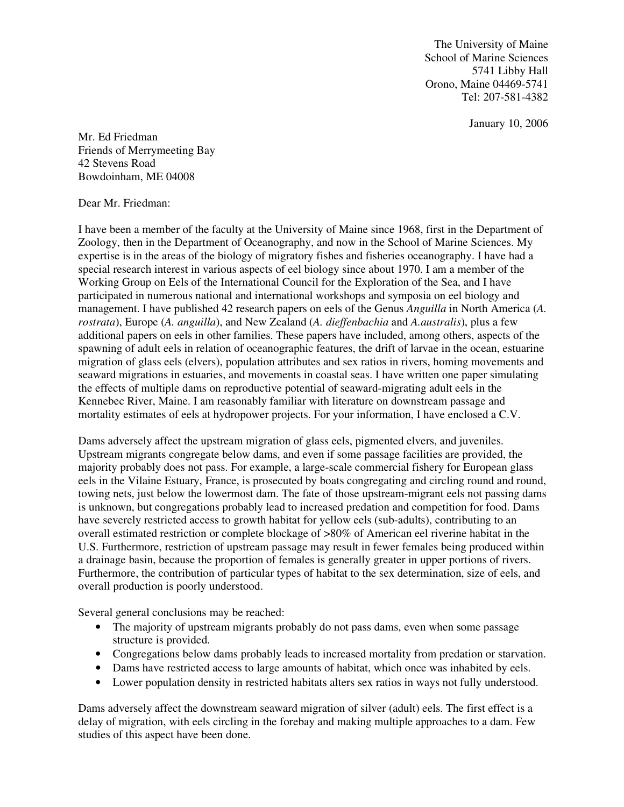The University of Maine School of Marine Sciences 5741 Libby Hall Orono, Maine 04469-5741 Tel: 207-581-4382

January 10, 2006

Mr. Ed Friedman Friends of Merrymeeting Bay 42 Stevens Road Bowdoinham, ME 04008

Dear Mr. Friedman:

I have been a member of the faculty at the University of Maine since 1968, first in the Department of Zoology, then in the Department of Oceanography, and now in the School of Marine Sciences. My expertise is in the areas of the biology of migratory fishes and fisheries oceanography. I have had a special research interest in various aspects of eel biology since about 1970. I am a member of the Working Group on Eels of the International Council for the Exploration of the Sea, and I have participated in numerous national and international workshops and symposia on eel biology and management. I have published 42 research papers on eels of the Genus *Anguilla* in North America (*A. rostrata*), Europe (*A. anguilla*), and New Zealand (*A. dieffenbachia* and *A.australis*), plus a few additional papers on eels in other families. These papers have included, among others, aspects of the spawning of adult eels in relation of oceanographic features, the drift of larvae in the ocean, estuarine migration of glass eels (elvers), population attributes and sex ratios in rivers, homing movements and seaward migrations in estuaries, and movements in coastal seas. I have written one paper simulating the effects of multiple dams on reproductive potential of seaward-migrating adult eels in the Kennebec River, Maine. I am reasonably familiar with literature on downstream passage and mortality estimates of eels at hydropower projects. For your information, I have enclosed a C.V.

Dams adversely affect the upstream migration of glass eels, pigmented elvers, and juveniles. Upstream migrants congregate below dams, and even if some passage facilities are provided, the majority probably does not pass. For example, a large-scale commercial fishery for European glass eels in the Vilaine Estuary, France, is prosecuted by boats congregating and circling round and round, towing nets, just below the lowermost dam. The fate of those upstream-migrant eels not passing dams is unknown, but congregations probably lead to increased predation and competition for food. Dams have severely restricted access to growth habitat for yellow eels (sub-adults), contributing to an overall estimated restriction or complete blockage of >80% of American eel riverine habitat in the U.S. Furthermore, restriction of upstream passage may result in fewer females being produced within a drainage basin, because the proportion of females is generally greater in upper portions of rivers. Furthermore, the contribution of particular types of habitat to the sex determination, size of eels, and overall production is poorly understood.

Several general conclusions may be reached:

- The majority of upstream migrants probably do not pass dams, even when some passage structure is provided.
- Congregations below dams probably leads to increased mortality from predation or starvation.
- Dams have restricted access to large amounts of habitat, which once was inhabited by eels.
- Lower population density in restricted habitats alters sex ratios in ways not fully understood.

Dams adversely affect the downstream seaward migration of silver (adult) eels. The first effect is a delay of migration, with eels circling in the forebay and making multiple approaches to a dam. Few studies of this aspect have been done.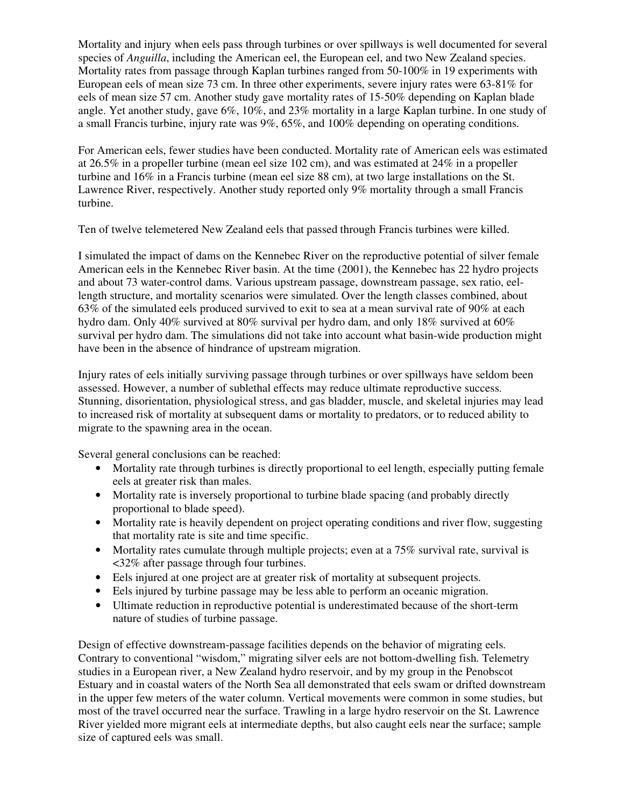Mortality and injury when eels pass through turbines or over spillways is well documented for several species of *Anguilla*, including the American eel, the European eel, and two New Zealand species. Mortality rates from passage through Kaplan turbines ranged from 50-100% in 19 experiments with European eels of mean size 73 cm. In three other experiments, severe injury rates were 63-81% for eels of mean size 57 cm. Another study gave mortality rates of 15-50% depending on Kaplan blade angle. Yet another study, gave 6%, 10%, and 23% mortality in a large Kaplan turbine. In one study of a small Francis turbine, injury rate was 9%, 65%, and 100% depending on operating conditions.

For American eels, fewer studies have been conducted. Mortality rate of American eels was estimated at 26.5% in a propeller turbine (mean eel size 102 cm), and was estimated at 24% in a propeller turbine and 16% in a Francis turbine (mean eel size 88 cm), at two large installations on the St. Lawrence River, respectively. Another study reported only 9% mortality through a small Francis turbine.

Ten of twelve telemetered New Zealand eels that passed through Francis turbines were killed.

I simulated the impact of dams on the Kennebec River on the reproductive potential of silver female American eels in the Kennebec River basin. At the time (2001), the Kennebec has 22 hydro projects and about 73 water-control dams. Various upstream passage, downstream passage, sex ratio, eellength structure, and mortality scenarios were simulated. Over the length classes combined, about 63% of the simulated eels produced survived to exit to sea at a mean survival rate of 90% at each hydro dam. Only 40% survived at 80% survival per hydro dam, and only 18% survived at 60% survival per hydro dam. The simulations did not take into account what basin-wide production might have been in the absence of hindrance of upstream migration.

Injury rates of eels initially surviving passage through turbines or over spillways have seldom been assessed. However, a number of sublethal effects may reduce ultimate reproductive success. Stunning, disorientation, physiological stress, and gas bladder, muscle, and skeletal injuries may lead to increased risk of mortality at subsequent dams or mortality to predators, or to reduced ability to migrate to the spawning area in the ocean.

Several general conclusions can be reached:

- Mortality rate through turbines is directly proportional to eel length, especially putting female eels at greater risk than males.
- Mortality rate is inversely proportional to turbine blade spacing (and probably directly proportional to blade speed).
- Mortality rate is heavily dependent on project operating conditions and river flow, suggesting that mortality rate is site and time specific.
- Mortality rates cumulate through multiple projects; even at a 75% survival rate, survival is <32% after passage through four turbines.
- Eels injured at one project are at greater risk of mortality at subsequent projects.
- Eels injured by turbine passage may be less able to perform an oceanic migration.
- Ultimate reduction in reproductive potential is underestimated because of the short-term nature of studies of turbine passage.

Design of effective downstream-passage facilities depends on the behavior of migrating eels. Contrary to conventional "wisdom," migrating silver eels are not bottom-dwelling fish. Telemetry studies in a European river, a New Zealand hydro reservoir, and by my group in the Penobscot Estuary and in coastal waters of the North Sea all demonstrated that eels swam or drifted downstream in the upper few meters of the water column. Vertical movements were common in some studies, but most of the travel occurred near the surface. Trawling in a large hydro reservoir on the St. Lawrence River yielded more migrant eels at intermediate depths, but also caught eels near the surface; sample size of captured eels was small.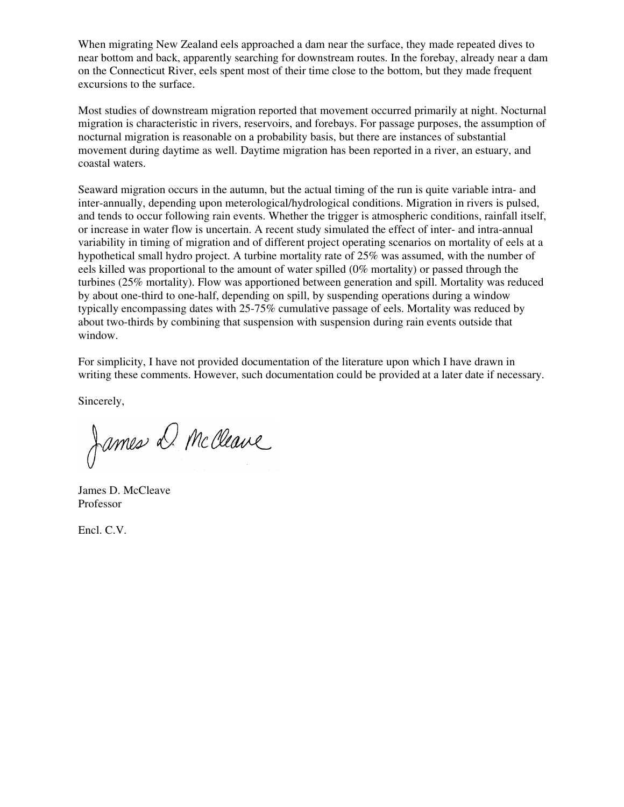When migrating New Zealand eels approached a dam near the surface, they made repeated dives to near bottom and back, apparently searching for downstream routes. In the forebay, already near a dam on the Connecticut River, eels spent most of their time close to the bottom, but they made frequent excursions to the surface.

Most studies of downstream migration reported that movement occurred primarily at night. Nocturnal migration is characteristic in rivers, reservoirs, and forebays. For passage purposes, the assumption of nocturnal migration is reasonable on a probability basis, but there are instances of substantial movement during daytime as well. Daytime migration has been reported in a river, an estuary, and coastal waters.

Seaward migration occurs in the autumn, but the actual timing of the run is quite variable intra- and inter-annually, depending upon meterological/hydrological conditions. Migration in rivers is pulsed, and tends to occur following rain events. Whether the trigger is atmospheric conditions, rainfall itself, or increase in water flow is uncertain. A recent study simulated the effect of inter- and intra-annual variability in timing of migration and of different project operating scenarios on mortality of eels at a hypothetical small hydro project. A turbine mortality rate of 25% was assumed, with the number of eels killed was proportional to the amount of water spilled (0% mortality) or passed through the turbines (25% mortality). Flow was apportioned between generation and spill. Mortality was reduced by about one-third to one-half, depending on spill, by suspending operations during a window typically encompassing dates with 25-75% cumulative passage of eels. Mortality was reduced by about two-thirds by combining that suspension with suspension during rain events outside that window.

For simplicity, I have not provided documentation of the literature upon which I have drawn in writing these comments. However, such documentation could be provided at a later date if necessary.

Sincerely,

James D. McCleave

James D. McCleave Professor

Encl. C.V.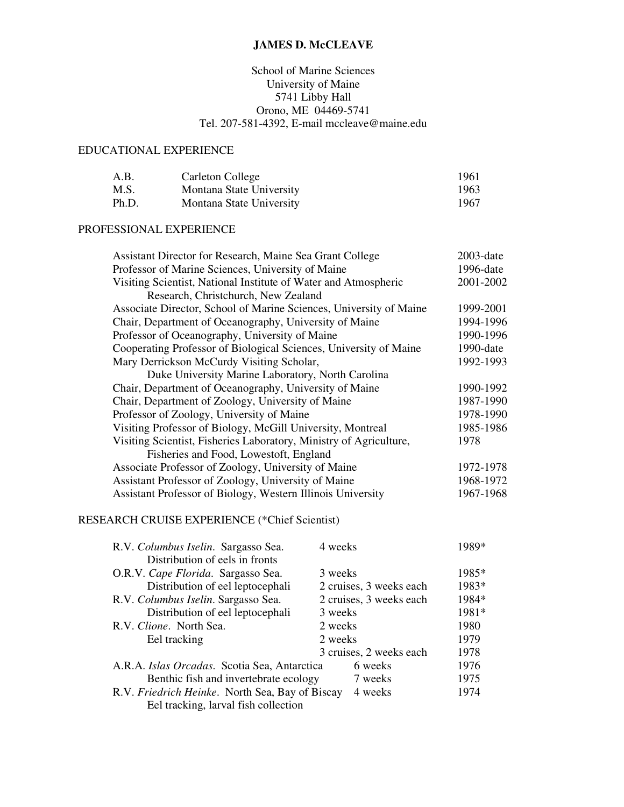# **JAMES D. McCLEAVE**

# School of Marine Sciences University of Maine 5741 Libby Hall Orono, ME 04469-5741 Tel. 207-581-4392, E-mail mccleave@maine.edu

### EDUCATIONAL EXPERIENCE

| A.B.  | Carleton College         | 1961 |
|-------|--------------------------|------|
| M.S.  | Montana State University | 1963 |
| Ph.D. | Montana State University | 1967 |

### PROFESSIONAL EXPERIENCE

| Assistant Director for Research, Maine Sea Grant College           | $2003$ -date |
|--------------------------------------------------------------------|--------------|
| Professor of Marine Sciences, University of Maine                  | 1996-date    |
| Visiting Scientist, National Institute of Water and Atmospheric    | 2001-2002    |
| Research, Christchurch, New Zealand                                |              |
| Associate Director, School of Marine Sciences, University of Maine | 1999-2001    |
| Chair, Department of Oceanography, University of Maine             | 1994-1996    |
| Professor of Oceanography, University of Maine                     | 1990-1996    |
| Cooperating Professor of Biological Sciences, University of Maine  | $1990$ -date |
| Mary Derrickson McCurdy Visiting Scholar,                          | 1992-1993    |
| Duke University Marine Laboratory, North Carolina                  |              |
| Chair, Department of Oceanography, University of Maine             | 1990-1992    |
| Chair, Department of Zoology, University of Maine                  | 1987-1990    |
| Professor of Zoology, University of Maine                          | 1978-1990    |
| Visiting Professor of Biology, McGill University, Montreal         | 1985-1986    |
| Visiting Scientist, Fisheries Laboratory, Ministry of Agriculture, | 1978         |
| Fisheries and Food, Lowestoft, England                             |              |
| Associate Professor of Zoology, University of Maine                | 1972-1978    |
| Assistant Professor of Zoology, University of Maine                | 1968-1972    |
| Assistant Professor of Biology, Western Illinois University        | 1967-1968    |
| <b>DECEA DOU CDUICE EVOEDIENCE</b> (*Ck.of Colombiat)              |              |

## RESEARCH CRUISE EXPERIENCE (\*Chief Scientist)

| R.V. Columbus Iselin. Sargasso Sea.                     | 4 weeks                 | 1989* |
|---------------------------------------------------------|-------------------------|-------|
| Distribution of eels in fronts                          |                         |       |
| O.R.V. Cape Florida. Sargasso Sea.                      | 3 weeks                 | 1985* |
| Distribution of eel leptocephali                        | 2 cruises, 3 weeks each | 1983* |
| R.V. Columbus Iselin. Sargasso Sea.                     | 2 cruises, 3 weeks each | 1984* |
| Distribution of eel leptocephali                        | 3 weeks                 | 1981* |
| R.V. Clione. North Sea.                                 | 2 weeks                 | 1980  |
| Eel tracking                                            | 2 weeks                 | 1979  |
|                                                         | 3 cruises, 2 weeks each | 1978  |
| 6 weeks<br>A.R.A. Islas Orcadas. Scotia Sea, Antarctica |                         | 1976  |
| Benthic fish and invertebrate ecology                   | 7 weeks                 | 1975  |
| R.V. Friedrich Heinke. North Sea, Bay of Biscay         | 4 weeks                 | 1974  |
| Eel tracking, larval fish collection                    |                         |       |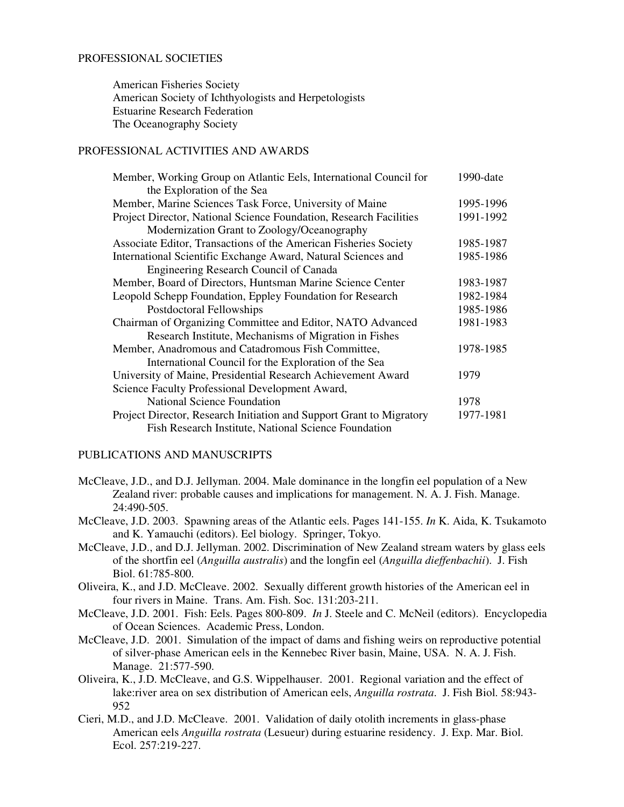#### PROFESSIONAL SOCIETIES

 American Fisheries Society American Society of Ichthyologists and Herpetologists Estuarine Research Federation The Oceanography Society

### PROFESSIONAL ACTIVITIES AND AWARDS

| Member, Working Group on Atlantic Eels, International Council for    | 1990-date |
|----------------------------------------------------------------------|-----------|
| the Exploration of the Sea                                           |           |
| Member, Marine Sciences Task Force, University of Maine              | 1995-1996 |
| Project Director, National Science Foundation, Research Facilities   | 1991-1992 |
| Modernization Grant to Zoology/Oceanography                          |           |
| Associate Editor, Transactions of the American Fisheries Society     | 1985-1987 |
| International Scientific Exchange Award, Natural Sciences and        | 1985-1986 |
| Engineering Research Council of Canada                               |           |
| Member, Board of Directors, Huntsman Marine Science Center           | 1983-1987 |
| Leopold Schepp Foundation, Eppley Foundation for Research            | 1982-1984 |
| Postdoctoral Fellowships                                             | 1985-1986 |
| Chairman of Organizing Committee and Editor, NATO Advanced           | 1981-1983 |
| Research Institute, Mechanisms of Migration in Fishes                |           |
| Member, Anadromous and Catadromous Fish Committee,                   | 1978-1985 |
| International Council for the Exploration of the Sea                 |           |
| University of Maine, Presidential Research Achievement Award         | 1979      |
| Science Faculty Professional Development Award,                      |           |
| <b>National Science Foundation</b>                                   | 1978      |
| Project Director, Research Initiation and Support Grant to Migratory | 1977-1981 |
| Fish Research Institute, National Science Foundation                 |           |

#### PUBLICATIONS AND MANUSCRIPTS

- McCleave, J.D., and D.J. Jellyman. 2004. Male dominance in the longfin eel population of a New Zealand river: probable causes and implications for management. N. A. J. Fish. Manage. 24:490-505.
- McCleave, J.D. 2003. Spawning areas of the Atlantic eels. Pages 141-155. *In* K. Aida, K. Tsukamoto and K. Yamauchi (editors). Eel biology. Springer, Tokyo.
- McCleave, J.D., and D.J. Jellyman. 2002. Discrimination of New Zealand stream waters by glass eels of the shortfin eel (*Anguilla australis*) and the longfin eel (*Anguilla dieffenbachii*). J. Fish Biol. 61:785-800.
- Oliveira, K., and J.D. McCleave. 2002. Sexually different growth histories of the American eel in four rivers in Maine. Trans. Am. Fish. Soc. 131:203-211.
- McCleave, J.D. 2001. Fish: Eels. Pages 800-809. *In* J. Steele and C. McNeil (editors). Encyclopedia of Ocean Sciences. Academic Press, London.
- McCleave, J.D. 2001. Simulation of the impact of dams and fishing weirs on reproductive potential of silver-phase American eels in the Kennebec River basin, Maine, USA. N. A. J. Fish. Manage. 21:577-590.
- Oliveira, K., J.D. McCleave, and G.S. Wippelhauser. 2001. Regional variation and the effect of lake:river area on sex distribution of American eels, *Anguilla rostrata*. J. Fish Biol. 58:943- 952
- Cieri, M.D., and J.D. McCleave. 2001. Validation of daily otolith increments in glass-phase American eels *Anguilla rostrata* (Lesueur) during estuarine residency. J. Exp. Mar. Biol. Ecol. 257:219-227.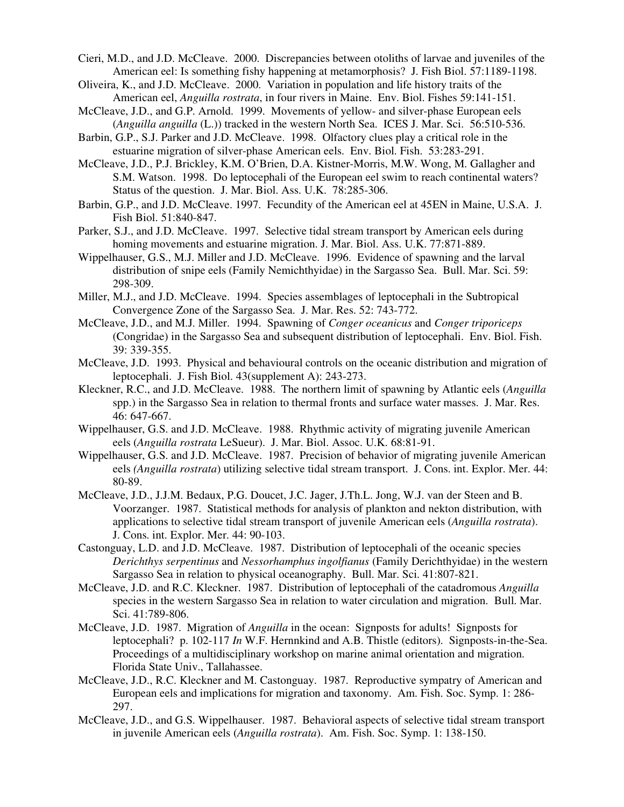- Cieri, M.D., and J.D. McCleave. 2000. Discrepancies between otoliths of larvae and juveniles of the American eel: Is something fishy happening at metamorphosis? J. Fish Biol. 57:1189-1198.
- Oliveira, K., and J.D. McCleave. 2000. Variation in population and life history traits of the American eel, *Anguilla rostrata*, in four rivers in Maine. Env. Biol. Fishes 59:141-151.
- McCleave, J.D., and G.P. Arnold. 1999. Movements of yellow- and silver-phase European eels (*Anguilla anguilla* (L.)) tracked in the western North Sea. ICES J. Mar. Sci. 56:510-536.
- Barbin, G.P., S.J. Parker and J.D. McCleave. 1998. Olfactory clues play a critical role in the estuarine migration of silver-phase American eels. Env. Biol. Fish. 53:283-291.
- McCleave, J.D., P.J. Brickley, K.M. O'Brien, D.A. Kistner-Morris, M.W. Wong, M. Gallagher and S.M. Watson. 1998. Do leptocephali of the European eel swim to reach continental waters? Status of the question. J. Mar. Biol. Ass. U.K. 78:285-306.
- Barbin, G.P., and J.D. McCleave. 1997. Fecundity of the American eel at 45EN in Maine, U.S.A. J. Fish Biol. 51:840-847.
- Parker, S.J., and J.D. McCleave. 1997. Selective tidal stream transport by American eels during homing movements and estuarine migration. J. Mar. Biol. Ass. U.K. 77:871-889.
- Wippelhauser, G.S., M.J. Miller and J.D. McCleave. 1996. Evidence of spawning and the larval distribution of snipe eels (Family Nemichthyidae) in the Sargasso Sea. Bull. Mar. Sci. 59: 298-309.
- Miller, M.J., and J.D. McCleave. 1994. Species assemblages of leptocephali in the Subtropical Convergence Zone of the Sargasso Sea. J. Mar. Res. 52: 743-772.
- McCleave, J.D., and M.J. Miller. 1994. Spawning of *Conger oceanicus* and *Conger triporiceps* (Congridae) in the Sargasso Sea and subsequent distribution of leptocephali. Env. Biol. Fish. 39: 339-355.
- McCleave, J.D. 1993. Physical and behavioural controls on the oceanic distribution and migration of leptocephali. J. Fish Biol. 43(supplement A): 243-273.
- Kleckner, R.C., and J.D. McCleave. 1988. The northern limit of spawning by Atlantic eels (*Anguilla* spp.) in the Sargasso Sea in relation to thermal fronts and surface water masses. J. Mar. Res. 46: 647-667.
- Wippelhauser, G.S. and J.D. McCleave. 1988. Rhythmic activity of migrating juvenile American eels (*Anguilla rostrata* LeSueur). J. Mar. Biol. Assoc. U.K. 68:81-91.
- Wippelhauser, G.S. and J.D. McCleave. 1987. Precision of behavior of migrating juvenile American eels *(Anguilla rostrata*) utilizing selective tidal stream transport. J. Cons. int. Explor. Mer. 44: 80-89.
- McCleave, J.D., J.J.M. Bedaux, P.G. Doucet, J.C. Jager, J.Th.L. Jong, W.J. van der Steen and B. Voorzanger. 1987. Statistical methods for analysis of plankton and nekton distribution, with applications to selective tidal stream transport of juvenile American eels (*Anguilla rostrata*). J. Cons. int. Explor. Mer. 44: 90-103.
- Castonguay, L.D. and J.D. McCleave. 1987. Distribution of leptocephali of the oceanic species *Derichthys serpentinus* and *Nessorhamphus ingolfianus* (Family Derichthyidae) in the western Sargasso Sea in relation to physical oceanography. Bull. Mar. Sci. 41:807-821.
- McCleave, J.D. and R.C. Kleckner. 1987. Distribution of leptocephali of the catadromous *Anguilla* species in the western Sargasso Sea in relation to water circulation and migration. Bull. Mar. Sci. 41:789-806.
- McCleave, J.D. 1987. Migration of *Anguilla* in the ocean: Signposts for adults! Signposts for leptocephali? p. 102-117 *In* W.F. Hernnkind and A.B. Thistle (editors). Signposts-in-the-Sea. Proceedings of a multidisciplinary workshop on marine animal orientation and migration. Florida State Univ., Tallahassee.
- McCleave, J.D., R.C. Kleckner and M. Castonguay. 1987. Reproductive sympatry of American and European eels and implications for migration and taxonomy. Am. Fish. Soc. Symp. 1: 286- 297.
- McCleave, J.D., and G.S. Wippelhauser. 1987. Behavioral aspects of selective tidal stream transport in juvenile American eels (*Anguilla rostrata*). Am. Fish. Soc. Symp. 1: 138-150.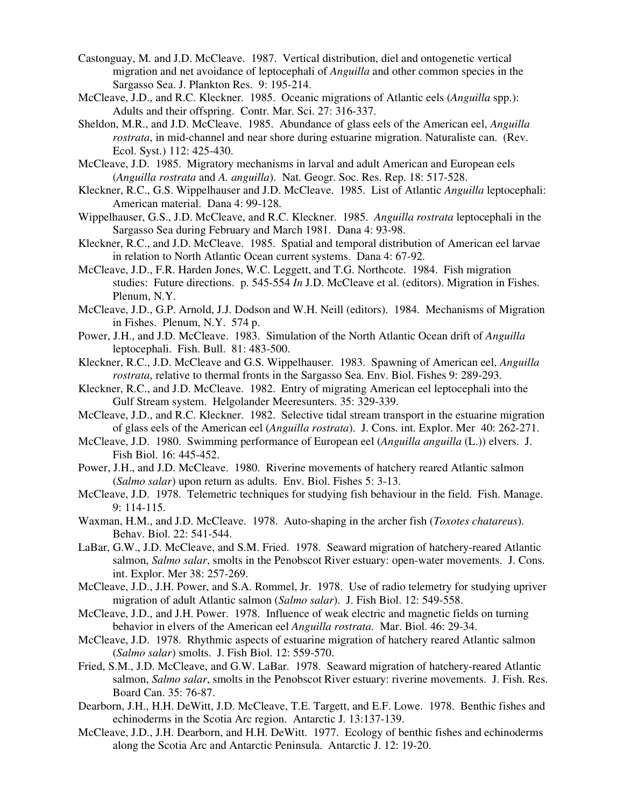- Castonguay, M. and J.D. McCleave. 1987. Vertical distribution, diel and ontogenetic vertical migration and net avoidance of leptocephali of *Anguilla* and other common species in the Sargasso Sea. J. Plankton Res. 9: 195-214.
- McCleave, J.D., and R.C. Kleckner. 1985. Oceanic migrations of Atlantic eels (*Anguilla* spp.): Adults and their offspring. Contr. Mar. Sci. 27: 316-337.
- Sheldon, M.R., and J.D. McCleave. 1985. Abundance of glass eels of the American eel, *Anguilla rostrata*, in mid-channel and near shore during estuarine migration. Naturaliste can. (Rev. Ecol. Syst.) 112: 425-430.
- McCleave, J.D. 1985. Migratory mechanisms in larval and adult American and European eels (*Anguilla rostrata* and *A. anguilla*). Nat. Geogr. Soc. Res. Rep. 18: 517-528.
- Kleckner, R.C., G.S. Wippelhauser and J.D. McCleave. 1985. List of Atlantic *Anguilla* leptocephali: American material. Dana 4: 99-128.
- Wippelhauser, G.S., J.D. McCleave, and R.C. Kleckner. 1985. *Anguilla rostrata* leptocephali in the Sargasso Sea during February and March 1981. Dana 4: 93-98.
- Kleckner, R.C., and J.D. McCleave. 1985. Spatial and temporal distribution of American eel larvae in relation to North Atlantic Ocean current systems. Dana 4: 67-92.
- McCleave, J.D., F.R. Harden Jones, W.C. Leggett, and T.G. Northcote. 1984. Fish migration studies: Future directions. p. 545-554 *In* J.D. McCleave et al. (editors). Migration in Fishes. Plenum, N.Y.
- McCleave, J.D., G.P. Arnold, J.J. Dodson and W.H. Neill (editors). 1984. Mechanisms of Migration in Fishes. Plenum, N.Y. 574 p.
- Power, J.H., and J.D. McCleave. 1983. Simulation of the North Atlantic Ocean drift of *Anguilla* leptocephali. Fish. Bull. 81: 483-500.
- Kleckner, R.C., J.D. McCleave and G.S. Wippelhauser. 1983. Spawning of American eel, *Anguilla rostrata*, relative to thermal fronts in the Sargasso Sea. Env. Biol. Fishes 9: 289-293.
- Kleckner, R.C., and J.D. McCleave. 1982. Entry of migrating American eel leptocephali into the Gulf Stream system. Helgolander Meeresunters. 35: 329-339.
- McCleave, J.D., and R.C. Kleckner. 1982. Selective tidal stream transport in the estuarine migration of glass eels of the American eel (*Anguilla rostrata*). J. Cons. int. Explor. Mer 40: 262-271.
- McCleave, J.D. 1980. Swimming performance of European eel (*Anguilla anguilla* (L.)) elvers. J. Fish Biol. 16: 445-452.
- Power, J.H., and J.D. McCleave. 1980. Riverine movements of hatchery reared Atlantic salmon (*Salmo salar*) upon return as adults. Env. Biol. Fishes 5: 3-13.
- McCleave, J.D. 1978. Telemetric techniques for studying fish behaviour in the field. Fish. Manage. 9: 114-115.
- Waxman, H.M., and J.D. McCleave. 1978. Auto-shaping in the archer fish (*Toxotes chatareus*). Behav. Biol. 22: 541-544.
- LaBar, G.W., J.D. McCleave, and S.M. Fried. 1978. Seaward migration of hatchery-reared Atlantic salmon, *Salmo salar*, smolts in the Penobscot River estuary: open-water movements. J. Cons. int. Explor. Mer 38: 257-269.
- McCleave, J.D., J.H. Power, and S.A. Rommel, Jr. 1978. Use of radio telemetry for studying upriver migration of adult Atlantic salmon (*Salmo salar*). J. Fish Biol. 12: 549-558.
- McCleave, J.D., and J.H. Power. 1978. Influence of weak electric and magnetic fields on turning behavior in elvers of the American eel *Anguilla rostrata*. Mar. Biol. 46: 29-34.
- McCleave, J.D. 1978. Rhythmic aspects of estuarine migration of hatchery reared Atlantic salmon (*Salmo salar*) smolts. J. Fish Biol. 12: 559-570.
- Fried, S.M., J.D. McCleave, and G.W. LaBar. 1978. Seaward migration of hatchery-reared Atlantic salmon, *Salmo salar*, smolts in the Penobscot River estuary: riverine movements. J. Fish. Res. Board Can. 35: 76-87.
- Dearborn, J.H., H.H. DeWitt, J.D. McCleave, T.E. Targett, and E.F. Lowe. 1978. Benthic fishes and echinoderms in the Scotia Arc region. Antarctic J. 13:137-139.
- McCleave, J.D., J.H. Dearborn, and H.H. DeWitt. 1977. Ecology of benthic fishes and echinoderms along the Scotia Arc and Antarctic Peninsula. Antarctic J. 12: 19-20.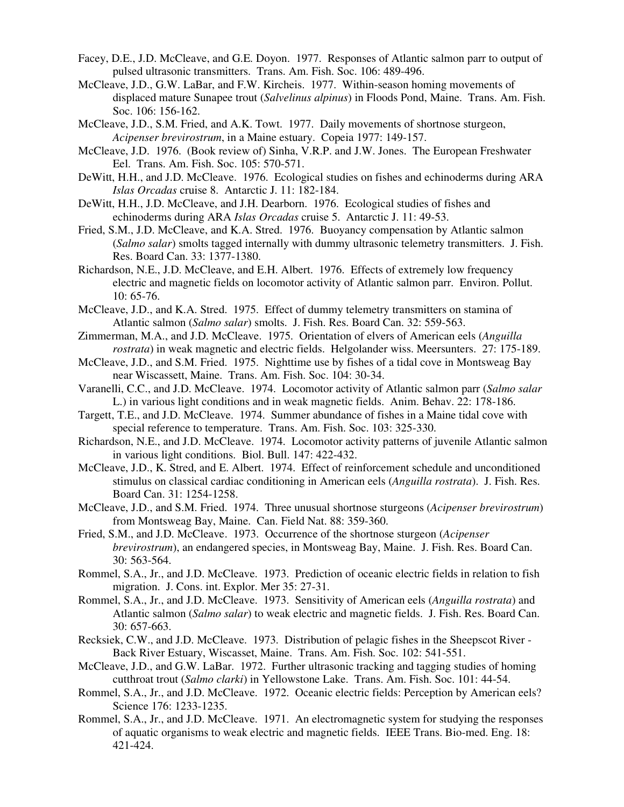- Facey, D.E., J.D. McCleave, and G.E. Doyon. 1977. Responses of Atlantic salmon parr to output of pulsed ultrasonic transmitters. Trans. Am. Fish. Soc. 106: 489-496.
- McCleave, J.D., G.W. LaBar, and F.W. Kircheis. 1977. Within-season homing movements of displaced mature Sunapee trout (*Salvelinus alpinus*) in Floods Pond, Maine. Trans. Am. Fish. Soc. 106: 156-162.
- McCleave, J.D., S.M. Fried, and A.K. Towt. 1977. Daily movements of shortnose sturgeon, *Acipenser brevirostrum*, in a Maine estuary. Copeia 1977: 149-157.
- McCleave, J.D. 1976. (Book review of) Sinha, V.R.P. and J.W. Jones. The European Freshwater Eel. Trans. Am. Fish. Soc. 105: 570-571.
- DeWitt, H.H., and J.D. McCleave. 1976. Ecological studies on fishes and echinoderms during ARA *Islas Orcadas* cruise 8. Antarctic J. 11: 182-184.
- DeWitt, H.H., J.D. McCleave, and J.H. Dearborn. 1976. Ecological studies of fishes and echinoderms during ARA *Islas Orcadas* cruise 5. Antarctic J. 11: 49-53.
- Fried, S.M., J.D. McCleave, and K.A. Stred. 1976. Buoyancy compensation by Atlantic salmon (*Salmo salar*) smolts tagged internally with dummy ultrasonic telemetry transmitters. J. Fish. Res. Board Can. 33: 1377-1380.
- Richardson, N.E., J.D. McCleave, and E.H. Albert. 1976. Effects of extremely low frequency electric and magnetic fields on locomotor activity of Atlantic salmon parr. Environ. Pollut. 10: 65-76.
- McCleave, J.D., and K.A. Stred. 1975. Effect of dummy telemetry transmitters on stamina of Atlantic salmon (*Salmo salar*) smolts. J. Fish. Res. Board Can. 32: 559-563.
- Zimmerman, M.A., and J.D. McCleave. 1975. Orientation of elvers of American eels (*Anguilla rostrata*) in weak magnetic and electric fields. Helgolander wiss. Meersunters. 27: 175-189.
- McCleave, J.D., and S.M. Fried. 1975. Nighttime use by fishes of a tidal cove in Montsweag Bay near Wiscassett, Maine. Trans. Am. Fish. Soc. 104: 30-34.
- Varanelli, C.C., and J.D. McCleave. 1974. Locomotor activity of Atlantic salmon parr (*Salmo salar* L.) in various light conditions and in weak magnetic fields. Anim. Behav. 22: 178-186.
- Targett, T.E., and J.D. McCleave. 1974. Summer abundance of fishes in a Maine tidal cove with special reference to temperature. Trans. Am. Fish. Soc. 103: 325-330.
- Richardson, N.E., and J.D. McCleave. 1974. Locomotor activity patterns of juvenile Atlantic salmon in various light conditions. Biol. Bull. 147: 422-432.
- McCleave, J.D., K. Stred, and E. Albert. 1974. Effect of reinforcement schedule and unconditioned stimulus on classical cardiac conditioning in American eels (*Anguilla rostrata*). J. Fish. Res. Board Can. 31: 1254-1258.
- McCleave, J.D., and S.M. Fried. 1974. Three unusual shortnose sturgeons (*Acipenser brevirostrum*) from Montsweag Bay, Maine. Can. Field Nat. 88: 359-360.
- Fried, S.M., and J.D. McCleave. 1973. Occurrence of the shortnose sturgeon (*Acipenser brevirostrum*), an endangered species, in Montsweag Bay, Maine. J. Fish. Res. Board Can. 30: 563-564.
- Rommel, S.A., Jr., and J.D. McCleave. 1973. Prediction of oceanic electric fields in relation to fish migration. J. Cons. int. Explor. Mer 35: 27-31.
- Rommel, S.A., Jr., and J.D. McCleave. 1973. Sensitivity of American eels (*Anguilla rostrata*) and Atlantic salmon (*Salmo salar*) to weak electric and magnetic fields. J. Fish. Res. Board Can. 30: 657-663.
- Recksiek, C.W., and J.D. McCleave. 1973. Distribution of pelagic fishes in the Sheepscot River Back River Estuary, Wiscasset, Maine. Trans. Am. Fish. Soc. 102: 541-551.
- McCleave, J.D., and G.W. LaBar. 1972. Further ultrasonic tracking and tagging studies of homing cutthroat trout (*Salmo clarki*) in Yellowstone Lake. Trans. Am. Fish. Soc. 101: 44-54.
- Rommel, S.A., Jr., and J.D. McCleave. 1972. Oceanic electric fields: Perception by American eels? Science 176: 1233-1235.
- Rommel, S.A., Jr., and J.D. McCleave. 1971. An electromagnetic system for studying the responses of aquatic organisms to weak electric and magnetic fields. IEEE Trans. Bio-med. Eng. 18: 421-424.